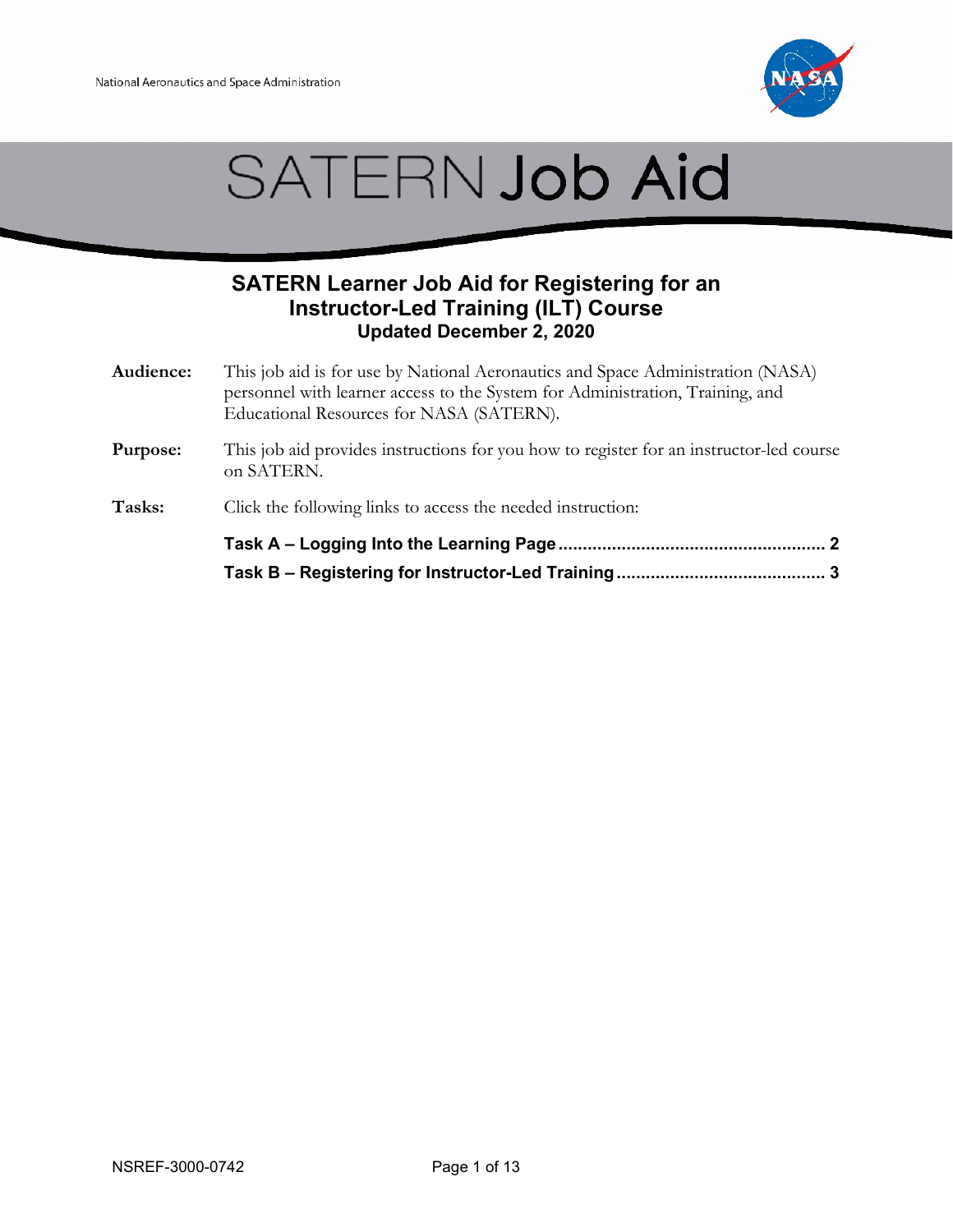



## **SATERN Learner Job Aid for Registering for an Instructor-Led Training (ILT) Course Updated December 2, 2020**

- **Audience:** This job aid is for use by National Aeronautics and Space Administration (NASA) personnel with learner access to the System for Administration, Training, and Educational Resources for NASA (SATERN).
- **Purpose:** This job aid provides instructions for you how to register for an instructor-led course on SATERN.
- Tasks: Click the following links to access the needed instruction: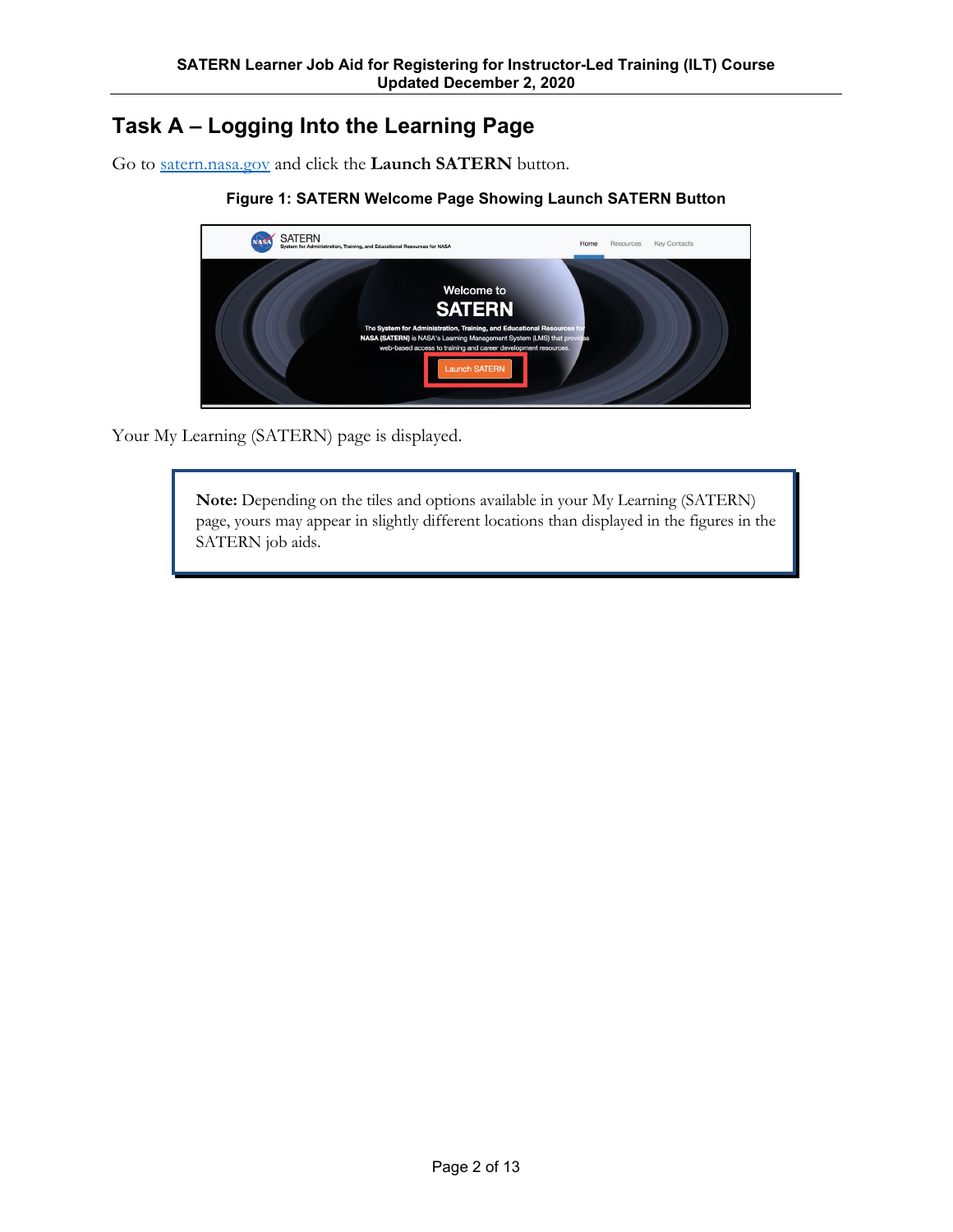# <span id="page-1-0"></span>**Task A – Logging Into the Learning Page**

Go to [satern.nasa.gov](https://satern.nasa.gov/) and click the **Launch SATERN** button.

#### **Figure 1: SATERN Welcome Page Showing Launch SATERN Button**



Your My Learning (SATERN) page is displayed.

**Note:** Depending on the tiles and options available in your My Learning (SATERN) page, yours may appear in slightly different locations than displayed in the figures in the SATERN job aids.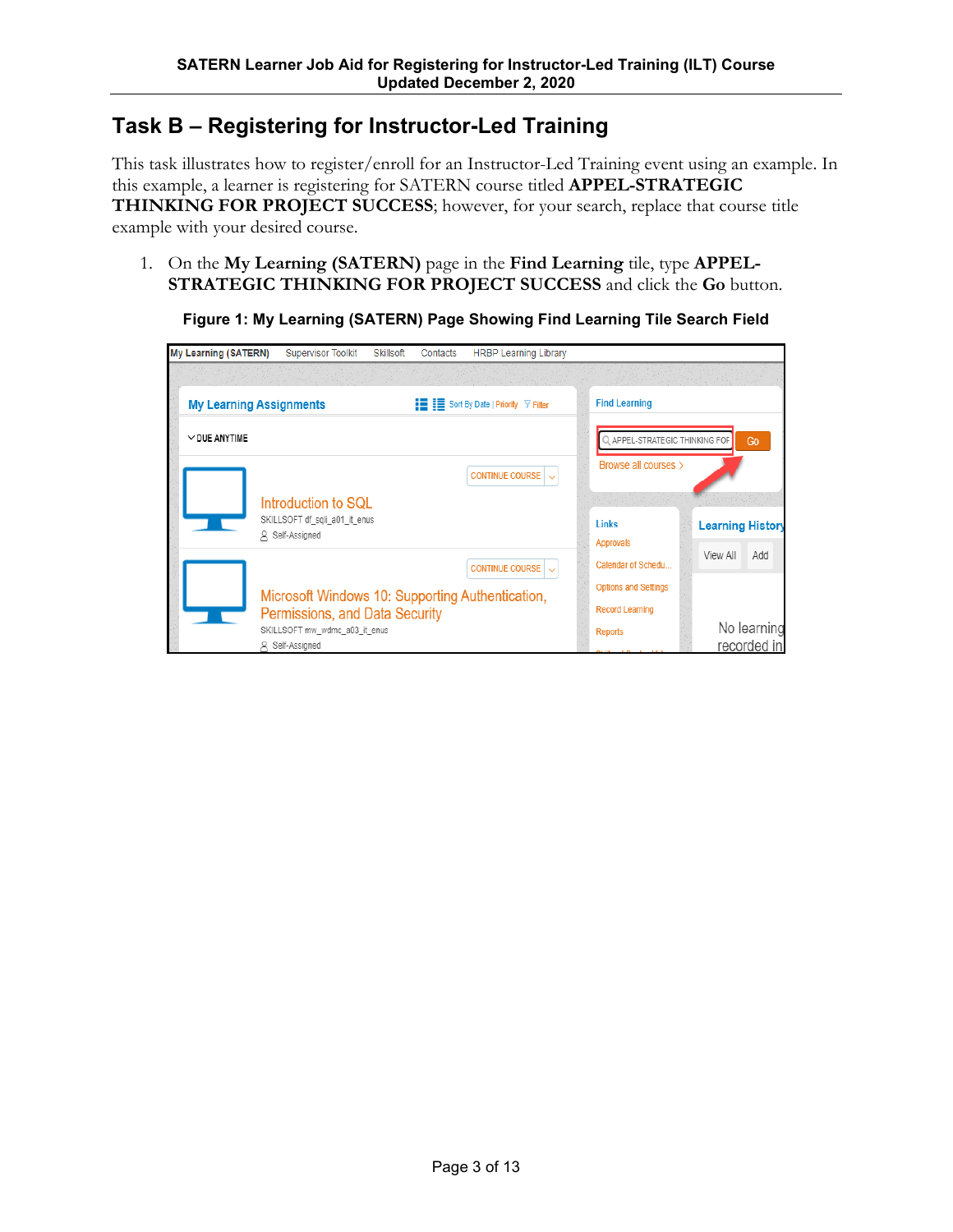# <span id="page-2-0"></span>**Task B – Registering for Instructor-Led Training**

This task illustrates how to register/enroll for an Instructor-Led Training event using an example. In this example, a learner is registering for SATERN course titled **APPEL-STRATEGIC THINKING FOR PROJECT SUCCESS**; however, for your search, replace that course title example with your desired course.

1. On the **My Learning (SATERN)** page in the **Find Learning** tile, type **APPEL-STRATEGIC THINKING FOR PROJECT SUCCESS** and click the **Go** button.



**Figure 1: My Learning (SATERN) Page Showing Find Learning Tile Search Field**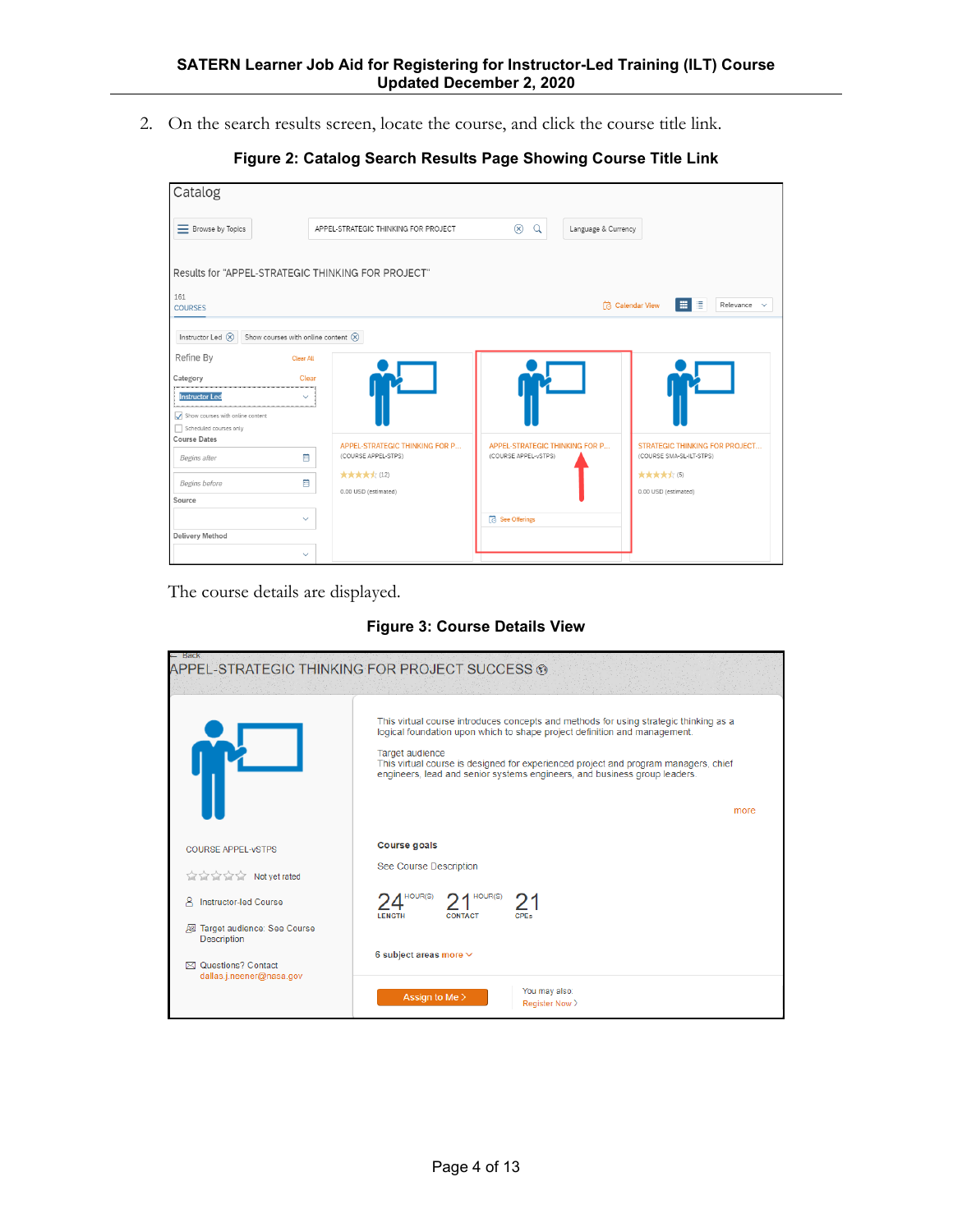2. On the search results screen, locate the course, and click the course title link.

|  |  |  |  |  | Figure 2: Catalog Search Results Page Showing Course Title Link |  |  |  |
|--|--|--|--|--|-----------------------------------------------------------------|--|--|--|
|--|--|--|--|--|-----------------------------------------------------------------|--|--|--|

| Catalog                                                                                            |                                                            |                                                        |                                                                   |
|----------------------------------------------------------------------------------------------------|------------------------------------------------------------|--------------------------------------------------------|-------------------------------------------------------------------|
| E Browse by Topics                                                                                 | APPEL-STRATEGIC THINKING FOR PROJECT                       | $^{\circledR}$<br>$\alpha$<br>Language & Currency      |                                                                   |
| Results for "APPEL-STRATEGIC THINKING FOR PROJECT"                                                 |                                                            |                                                        |                                                                   |
| 161<br><b>COURSES</b>                                                                              |                                                            |                                                        | ■■■<br>Relevance $\sim$<br>Calendar View                          |
| Show courses with online content $\circledR$<br>Instructor Led $\left(\widehat{\mathsf{X}}\right)$ |                                                            |                                                        |                                                                   |
| Refine By                                                                                          | <b>Clear All</b>                                           |                                                        |                                                                   |
| Category                                                                                           | <b>Clear</b>                                               |                                                        |                                                                   |
| <b>Instructor Led</b>                                                                              | $\checkmark$                                               |                                                        |                                                                   |
| $\sqrt{\phantom{a}}$ Show courses with online content                                              |                                                            |                                                        |                                                                   |
| Scheduled courses only<br><b>Course Dates</b>                                                      |                                                            |                                                        |                                                                   |
| Begins after                                                                                       | APPEL-STRATEGIC THINKING FOR P<br>(COURSE APPEL-STPS)<br>同 | APPEL-STRATEGIC THINKING FOR P<br>(COURSE APPEL-vSTPS) | <b>STRATEGIC THINKING FOR PROJECT</b><br>(COURSE SMA-SL-ILT-STPS) |
| Begins before                                                                                      | ★★★★☆ (12)<br>圓<br>0.00 USD (estimated)                    |                                                        | ★★★★★(5)<br>0.00 USD (estimated)                                  |
| Source                                                                                             |                                                            |                                                        |                                                                   |
|                                                                                                    | $\checkmark$                                               | <b>See Offerings</b>                                   |                                                                   |
| <b>Delivery Method</b>                                                                             |                                                            |                                                        |                                                                   |
|                                                                                                    | $\checkmark$                                               |                                                        |                                                                   |

The course details are displayed.

**Figure 3: Course Details View**

| — Back                                                                                                                                                                                                                               | APPEL-STRATEGIC THINKING FOR PROJECT SUCCESS ®                                                                                                                                                                                                                                                                                                                    |
|--------------------------------------------------------------------------------------------------------------------------------------------------------------------------------------------------------------------------------------|-------------------------------------------------------------------------------------------------------------------------------------------------------------------------------------------------------------------------------------------------------------------------------------------------------------------------------------------------------------------|
|                                                                                                                                                                                                                                      | This virtual course introduces concepts and methods for using strategic thinking as a<br>logical foundation upon which to shape project definition and management.<br>Target audience<br>This virtual course is designed for experienced project and program managers, chief<br>engineers, lead and senior systems engineers, and business group leaders.<br>more |
| <b>COURSE APPEL-VSTPS</b>                                                                                                                                                                                                            | <b>Course goals</b>                                                                                                                                                                                                                                                                                                                                               |
| <b>Report of the Second Second Second Second Second Second Second Second Second Second Second Second Second Second Second Second Second Second Second Second Second Second Second Second Second Second Second Second Second Seco</b> | See Course Description                                                                                                                                                                                                                                                                                                                                            |
| <b>Instructor-led Course</b><br>ዳ                                                                                                                                                                                                    | HOUR(S)<br>HOUR(S)                                                                                                                                                                                                                                                                                                                                                |
| Target audience: See Course<br>國<br><b>Description</b>                                                                                                                                                                               | <b>CONTACT</b><br><b>CPFs</b><br><b>LENGTH</b>                                                                                                                                                                                                                                                                                                                    |
| ⊠ Questions? Contact                                                                                                                                                                                                                 | 6 subject areas more $\vee$                                                                                                                                                                                                                                                                                                                                       |
| dallas.j.neener@nasa.gov                                                                                                                                                                                                             | You may also:<br>Assign to Me ><br>Register Now >                                                                                                                                                                                                                                                                                                                 |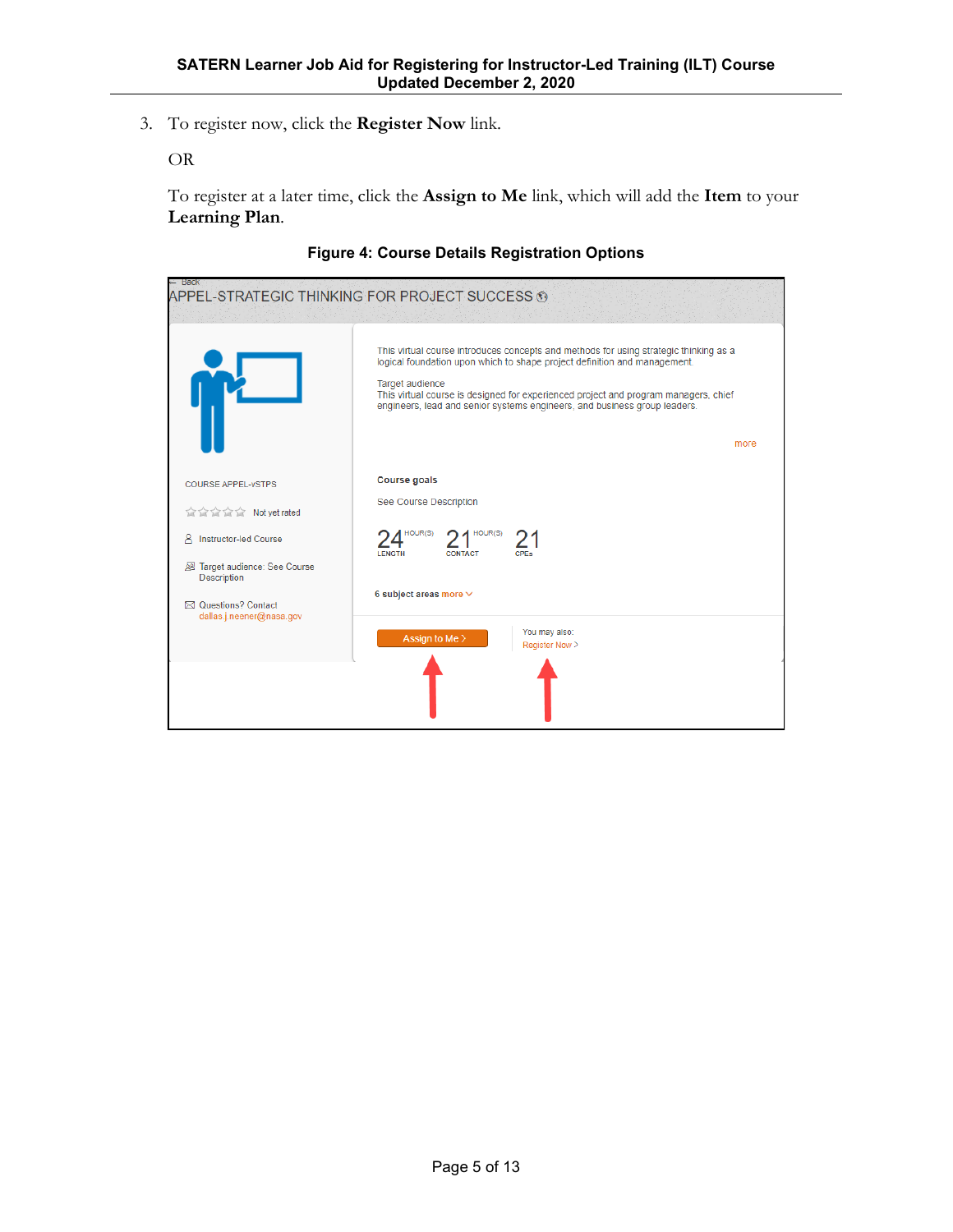3. To register now, click the **Register Now** link.

OR

To register at a later time, click the **Assign to Me** link, which will add the **Item** to your **Learning Plan**.



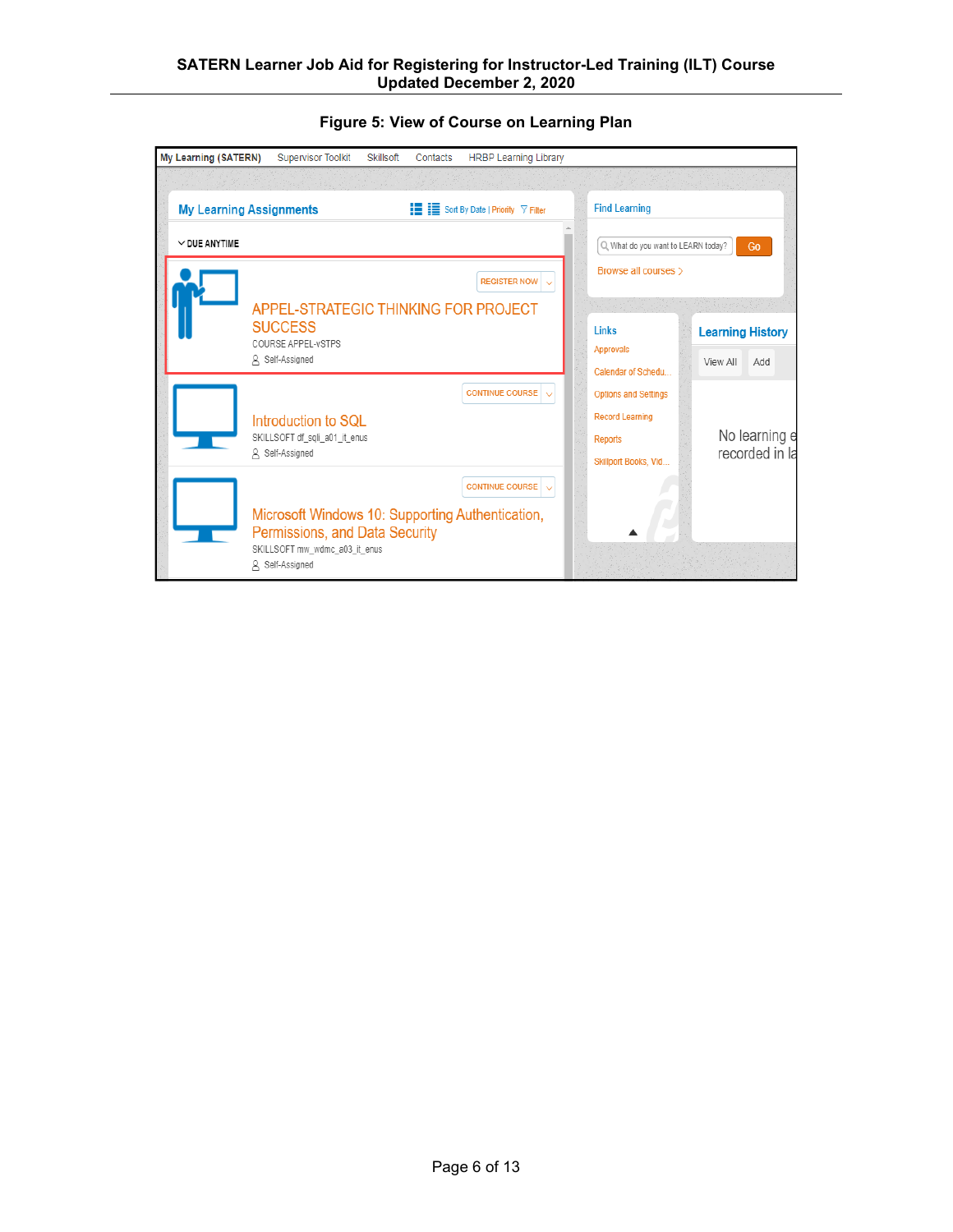| My Learning (SATERN)           | <b>Supervisor Toolkit</b>                                       | Skillsoft | Contacts | <b>HRBP Learning Library</b>                                      |                                        |                                 |
|--------------------------------|-----------------------------------------------------------------|-----------|----------|-------------------------------------------------------------------|----------------------------------------|---------------------------------|
|                                |                                                                 |           |          |                                                                   |                                        |                                 |
| <b>My Learning Assignments</b> |                                                                 |           |          | $\mathbf{F} = \mathbf{F}$ Sort By Date   Priority $\nabla$ Filter | <b>Find Learning</b>                   |                                 |
| $\vee$ DUE ANYTIME             |                                                                 |           |          |                                                                   | Q. What do you want to LEARN today?    | Go                              |
|                                |                                                                 |           |          | <b>REGISTER NOW</b>                                               | Browse all courses >                   |                                 |
|                                | <b>APPEL-STRATEGIC THINKING FOR PROJECT</b>                     |           |          |                                                                   |                                        | 14.20 이번 강제하면 x group 198       |
|                                | <b>SUCCESS</b><br>COURSE APPEL-VSTPS                            |           |          |                                                                   | Links                                  | <b>Learning History</b>         |
|                                | A Self-Assigned                                                 |           |          |                                                                   | <b>Approvals</b><br>Calendar of Schedu | View All<br>Add                 |
|                                |                                                                 |           |          | <b>CONTINUE COURSE</b>                                            | <b>Options and Settings</b>            |                                 |
|                                | Introduction to SQL                                             |           |          |                                                                   | <b>Record Learning</b>                 |                                 |
|                                | SKILLSOFT df_sqli_a01_it_enus<br>A Self-Assigned                |           |          |                                                                   | <b>Reports</b>                         | No learning e<br>recorded in la |
|                                |                                                                 |           |          |                                                                   | Skillport Books, Vid                   |                                 |
|                                |                                                                 |           |          | <b>CONTINUE COURSE</b>                                            |                                        |                                 |
|                                | Microsoft Windows 10: Supporting Authentication,                |           |          |                                                                   |                                        |                                 |
|                                | Permissions, and Data Security<br>SKILLSOFT mw_wdmc_a03_it_enus |           |          |                                                                   |                                        |                                 |
| Α                              | Self-Assigned                                                   |           |          |                                                                   |                                        |                                 |

#### **Figure 5: View of Course on Learning Plan**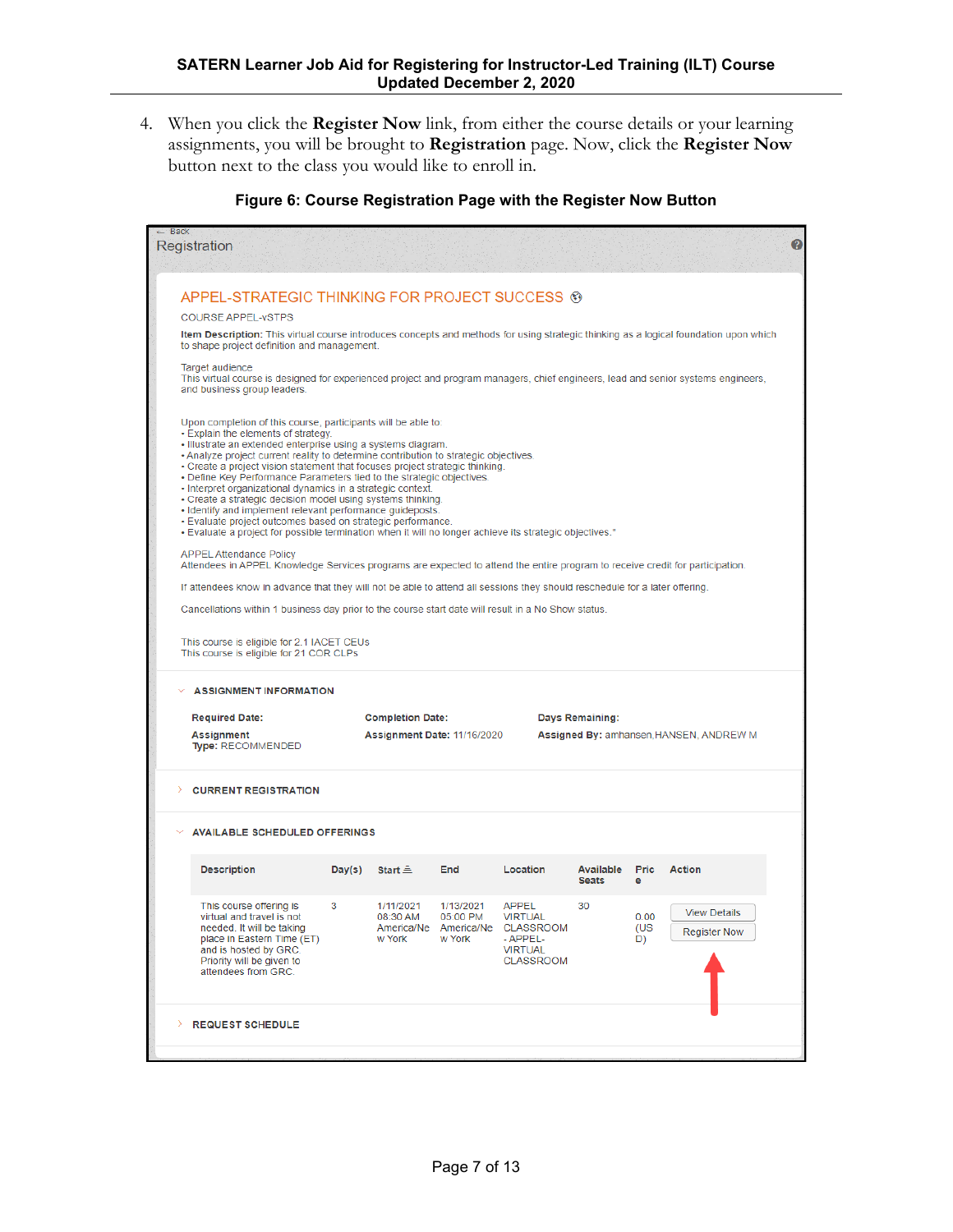4. When you click the **Register Now** link, from either the course details or your learning assignments, you will be brought to **Registration** page. Now, click the **Register Now** button next to the class you would like to enroll in.

#### **Figure 6: Course Registration Page with the Register Now Button**

| $-$ Back<br>Registration                                                                                                                                                                     |                                                                                                                                                                                                                                                                                                                                                                                                                                                                                                                                                                                                                                                                                                                                                                                            |                                 |                                                          |                                                                                               |                                |                   |                                            | B |  |  |
|----------------------------------------------------------------------------------------------------------------------------------------------------------------------------------------------|--------------------------------------------------------------------------------------------------------------------------------------------------------------------------------------------------------------------------------------------------------------------------------------------------------------------------------------------------------------------------------------------------------------------------------------------------------------------------------------------------------------------------------------------------------------------------------------------------------------------------------------------------------------------------------------------------------------------------------------------------------------------------------------------|---------------------------------|----------------------------------------------------------|-----------------------------------------------------------------------------------------------|--------------------------------|-------------------|--------------------------------------------|---|--|--|
|                                                                                                                                                                                              |                                                                                                                                                                                                                                                                                                                                                                                                                                                                                                                                                                                                                                                                                                                                                                                            |                                 |                                                          |                                                                                               |                                |                   |                                            |   |  |  |
| APPEL-STRATEGIC THINKING FOR PROJECT SUCCESS <sup>®</sup>                                                                                                                                    |                                                                                                                                                                                                                                                                                                                                                                                                                                                                                                                                                                                                                                                                                                                                                                                            |                                 |                                                          |                                                                                               |                                |                   |                                            |   |  |  |
| <b>COURSE APPEL-VSTPS</b>                                                                                                                                                                    |                                                                                                                                                                                                                                                                                                                                                                                                                                                                                                                                                                                                                                                                                                                                                                                            |                                 |                                                          |                                                                                               |                                |                   |                                            |   |  |  |
| Item Description: This virtual course introduces concepts and methods for using strategic thinking as a logical foundation upon which<br>to shape project definition and management.         |                                                                                                                                                                                                                                                                                                                                                                                                                                                                                                                                                                                                                                                                                                                                                                                            |                                 |                                                          |                                                                                               |                                |                   |                                            |   |  |  |
| Target audience<br>This virtual course is designed for experienced project and program managers, chief engineers, lead and senior systems engineers,<br>and business group leaders.          |                                                                                                                                                                                                                                                                                                                                                                                                                                                                                                                                                                                                                                                                                                                                                                                            |                                 |                                                          |                                                                                               |                                |                   |                                            |   |  |  |
|                                                                                                                                                                                              | Upon completion of this course, participants will be able to:<br>• Explain the elements of strategy.<br>· Illustrate an extended enterprise using a systems diagram.<br>. Analyze project current reality to determine contribution to strategic objectives.<br>• Create a project vision statement that focuses project strategic thinking.<br>. Define Key Performance Parameters tied to the strategic objectives.<br>• Interpret organizational dynamics in a strategic context.<br>• Create a strategic decision model using systems thinking.<br>- Identify and implement relevant performance guideposts.<br>. Evaluate project outcomes based on strategic performance.<br>. Evaluate a project for possible termination when it will no longer achieve its strategic objectives." |                                 |                                                          |                                                                                               |                                |                   |                                            |   |  |  |
| <b>APPEL Attendance Policy</b><br>Attendees in APPEL Knowledge Services programs are expected to attend the entire program to receive credit for participation.                              |                                                                                                                                                                                                                                                                                                                                                                                                                                                                                                                                                                                                                                                                                                                                                                                            |                                 |                                                          |                                                                                               |                                |                   |                                            |   |  |  |
| If attendees know in advance that they will not be able to attend all sessions they should reschedule for a later offering.                                                                  |                                                                                                                                                                                                                                                                                                                                                                                                                                                                                                                                                                                                                                                                                                                                                                                            |                                 |                                                          |                                                                                               |                                |                   |                                            |   |  |  |
| Cancellations within 1 business day prior to the course start date will result in a No Show status.                                                                                          |                                                                                                                                                                                                                                                                                                                                                                                                                                                                                                                                                                                                                                                                                                                                                                                            |                                 |                                                          |                                                                                               |                                |                   |                                            |   |  |  |
| This course is eligible for 2.1 IACET CEUs<br>This course is eligible for 21 COR CLPs                                                                                                        |                                                                                                                                                                                                                                                                                                                                                                                                                                                                                                                                                                                                                                                                                                                                                                                            |                                 |                                                          |                                                                                               |                                |                   |                                            |   |  |  |
| <b>ASSIGNMENT INFORMATION</b>                                                                                                                                                                |                                                                                                                                                                                                                                                                                                                                                                                                                                                                                                                                                                                                                                                                                                                                                                                            |                                 |                                                          |                                                                                               |                                |                   |                                            |   |  |  |
| <b>Required Date:</b>                                                                                                                                                                        |                                                                                                                                                                                                                                                                                                                                                                                                                                                                                                                                                                                                                                                                                                                                                                                            | <b>Completion Date:</b>         |                                                          |                                                                                               | Days Remaining:                |                   |                                            |   |  |  |
| <b>Assignment</b><br><b>Type: RECOMMENDED</b>                                                                                                                                                |                                                                                                                                                                                                                                                                                                                                                                                                                                                                                                                                                                                                                                                                                                                                                                                            | Assignment Date: 11/16/2020     |                                                          |                                                                                               |                                |                   | Assigned By: amhansen, HANSEN, ANDREW M    |   |  |  |
| <b>CURRENT REGISTRATION</b>                                                                                                                                                                  |                                                                                                                                                                                                                                                                                                                                                                                                                                                                                                                                                                                                                                                                                                                                                                                            |                                 |                                                          |                                                                                               |                                |                   |                                            |   |  |  |
|                                                                                                                                                                                              | <b>AVAILABLE SCHEDULED OFFERINGS</b>                                                                                                                                                                                                                                                                                                                                                                                                                                                                                                                                                                                                                                                                                                                                                       |                                 |                                                          |                                                                                               |                                |                   |                                            |   |  |  |
| <b>Description</b>                                                                                                                                                                           |                                                                                                                                                                                                                                                                                                                                                                                                                                                                                                                                                                                                                                                                                                                                                                                            | Day(s) Start $\triangle$        | End                                                      | Location                                                                                      | Available Pric Action<br>Seats | e                 |                                            |   |  |  |
| This course offering is<br>virtual and travel is not<br>needed. It will be taking<br>place in Eastern Time (ET)<br>and is hosted by GRC.<br>Priority will be given to<br>attendees from GRC. | 3                                                                                                                                                                                                                                                                                                                                                                                                                                                                                                                                                                                                                                                                                                                                                                                          | 1/11/2021<br>08:30 AM<br>w York | 1/13/2021<br>05:00 PM<br>America/Ne America/Ne<br>w York | <b>APPEL</b><br><b>VIRTUAL</b><br>CLASSROOM<br>- APPEL-<br><b>VIRTUAL</b><br><b>CLASSROOM</b> | 30                             | 0.00<br>(US<br>D) | <b>View Details</b><br><b>Register Now</b> |   |  |  |
| ><br><b>REQUEST SCHEDULE</b>                                                                                                                                                                 |                                                                                                                                                                                                                                                                                                                                                                                                                                                                                                                                                                                                                                                                                                                                                                                            |                                 |                                                          |                                                                                               |                                |                   |                                            |   |  |  |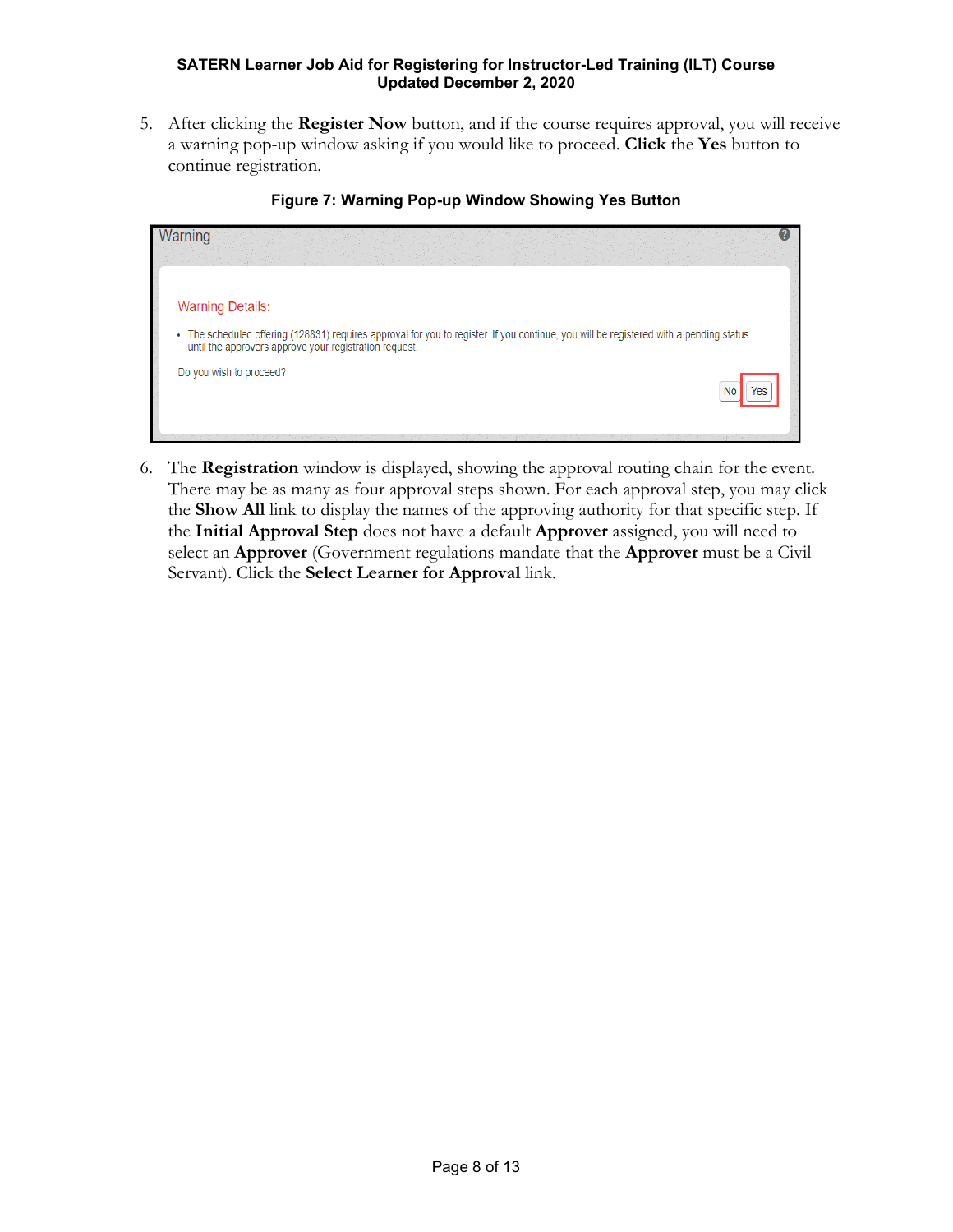5. After clicking the **Register Now** button, and if the course requires approval, you will receive a warning pop-up window asking if you would like to proceed. **Click** the **Yes** button to continue registration.

| <b>Warning Details:</b><br>The scheduled offering (128831) requires approval for you to register. If you continue, you will be registered with a pending status<br>$\bullet$<br>until the approvers approve your registration request.<br>Do you wish to proceed? | rning |  |  |     |
|-------------------------------------------------------------------------------------------------------------------------------------------------------------------------------------------------------------------------------------------------------------------|-------|--|--|-----|
|                                                                                                                                                                                                                                                                   |       |  |  |     |
|                                                                                                                                                                                                                                                                   |       |  |  |     |
|                                                                                                                                                                                                                                                                   |       |  |  | Yes |

#### **Figure 7: Warning Pop-up Window Showing Yes Button**

6. The **Registration** window is displayed, showing the approval routing chain for the event. There may be as many as four approval steps shown. For each approval step, you may click the **Show All** link to display the names of the approving authority for that specific step. If the **Initial Approval Step** does not have a default **Approver** assigned, you will need to select an **Approver** (Government regulations mandate that the **Approver** must be a Civil Servant). Click the **Select Learner for Approval** link.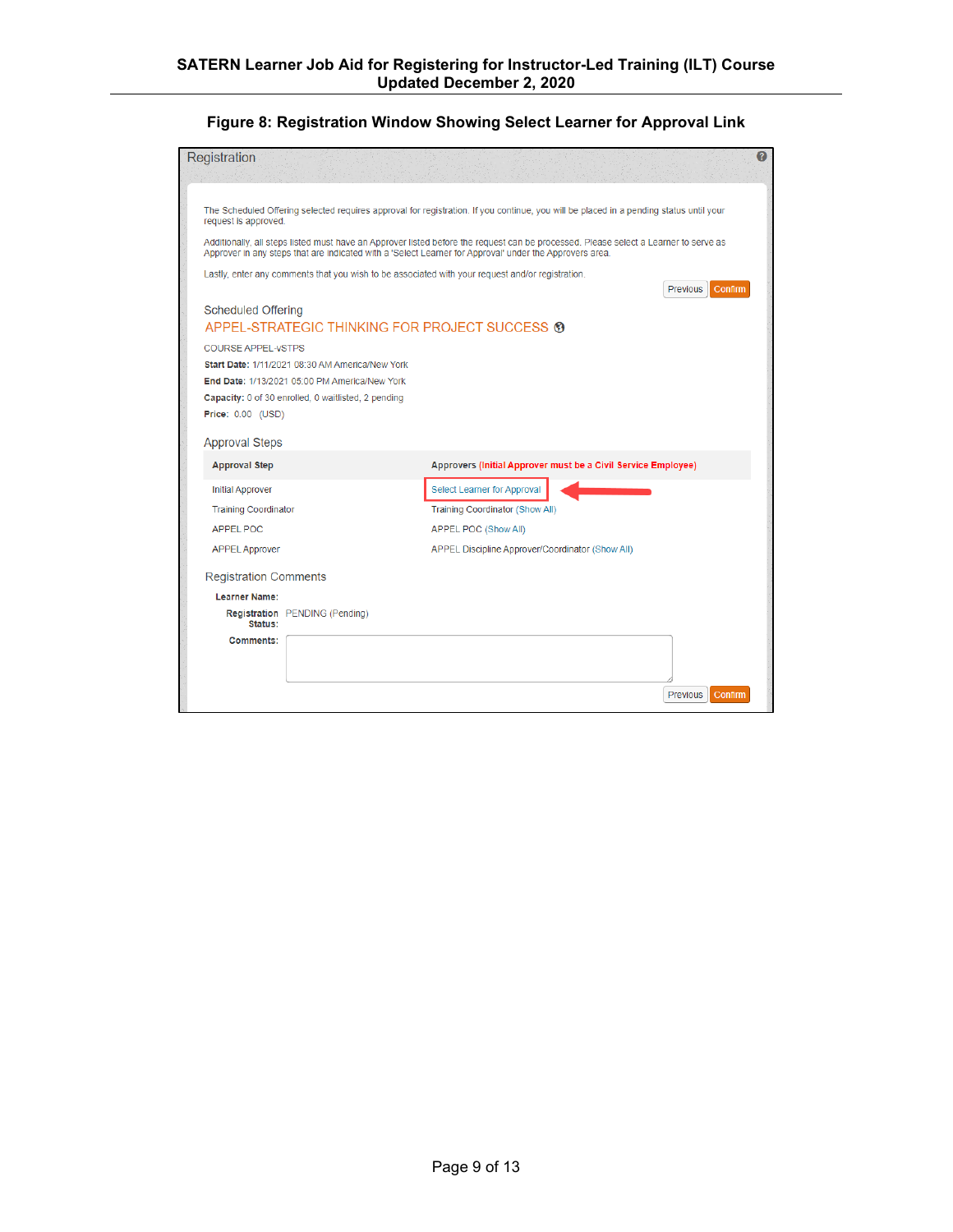#### **Figure 8: Registration Window Showing Select Learner for Approval Link**

| Registration                                                                                                                                                                                                                                                                                    | Q                                                             |  |  |  |  |  |  |  |  |  |
|-------------------------------------------------------------------------------------------------------------------------------------------------------------------------------------------------------------------------------------------------------------------------------------------------|---------------------------------------------------------------|--|--|--|--|--|--|--|--|--|
| The Scheduled Offering selected requires approval for registration. If you continue, you will be placed in a pending status until your<br>request is approved.                                                                                                                                  |                                                               |  |  |  |  |  |  |  |  |  |
| Additionally, all steps listed must have an Approver listed before the request can be processed. Please select a Learner to serve as<br>Approver in any steps that are indicated with a 'Select Learner for Approval' under the Approvers area.                                                 |                                                               |  |  |  |  |  |  |  |  |  |
| Lastly, enter any comments that you wish to be associated with your request and/or registration.                                                                                                                                                                                                | Previous<br>Confirm                                           |  |  |  |  |  |  |  |  |  |
| <b>Scheduled Offering</b><br>APPEL-STRATEGIC THINKING FOR PROJECT SUCCESS ®<br><b>COURSE APPEL-VSTPS</b><br>Start Date: 1/11/2021 08:30 AM America/New York<br>End Date: 1/13/2021 05:00 PM America/New York<br>Capacity: 0 of 30 enrolled, 0 waitlisted, 2 pending<br><b>Price: 0.00 (USD)</b> |                                                               |  |  |  |  |  |  |  |  |  |
| <b>Approval Steps</b>                                                                                                                                                                                                                                                                           |                                                               |  |  |  |  |  |  |  |  |  |
| <b>Approval Step</b>                                                                                                                                                                                                                                                                            | Approvers (Initial Approver must be a Civil Service Employee) |  |  |  |  |  |  |  |  |  |
| <b>Initial Approver</b>                                                                                                                                                                                                                                                                         | Select Learner for Approval                                   |  |  |  |  |  |  |  |  |  |
| <b>Training Coordinator</b>                                                                                                                                                                                                                                                                     | <b>Training Coordinator (Show All)</b>                        |  |  |  |  |  |  |  |  |  |
| <b>APPEL POC</b>                                                                                                                                                                                                                                                                                | <b>APPEL POC (Show All)</b>                                   |  |  |  |  |  |  |  |  |  |
| <b>APPEL Approver</b>                                                                                                                                                                                                                                                                           | APPEL Discipline Approver/Coordinator (Show All)              |  |  |  |  |  |  |  |  |  |
| <b>Registration Comments</b>                                                                                                                                                                                                                                                                    |                                                               |  |  |  |  |  |  |  |  |  |
| <b>Learner Name:</b>                                                                                                                                                                                                                                                                            |                                                               |  |  |  |  |  |  |  |  |  |
| <b>Registration</b> PENDING (Pending)<br>Status:                                                                                                                                                                                                                                                |                                                               |  |  |  |  |  |  |  |  |  |
| Comments:                                                                                                                                                                                                                                                                                       |                                                               |  |  |  |  |  |  |  |  |  |
|                                                                                                                                                                                                                                                                                                 | <b>Previous</b><br>Confirm                                    |  |  |  |  |  |  |  |  |  |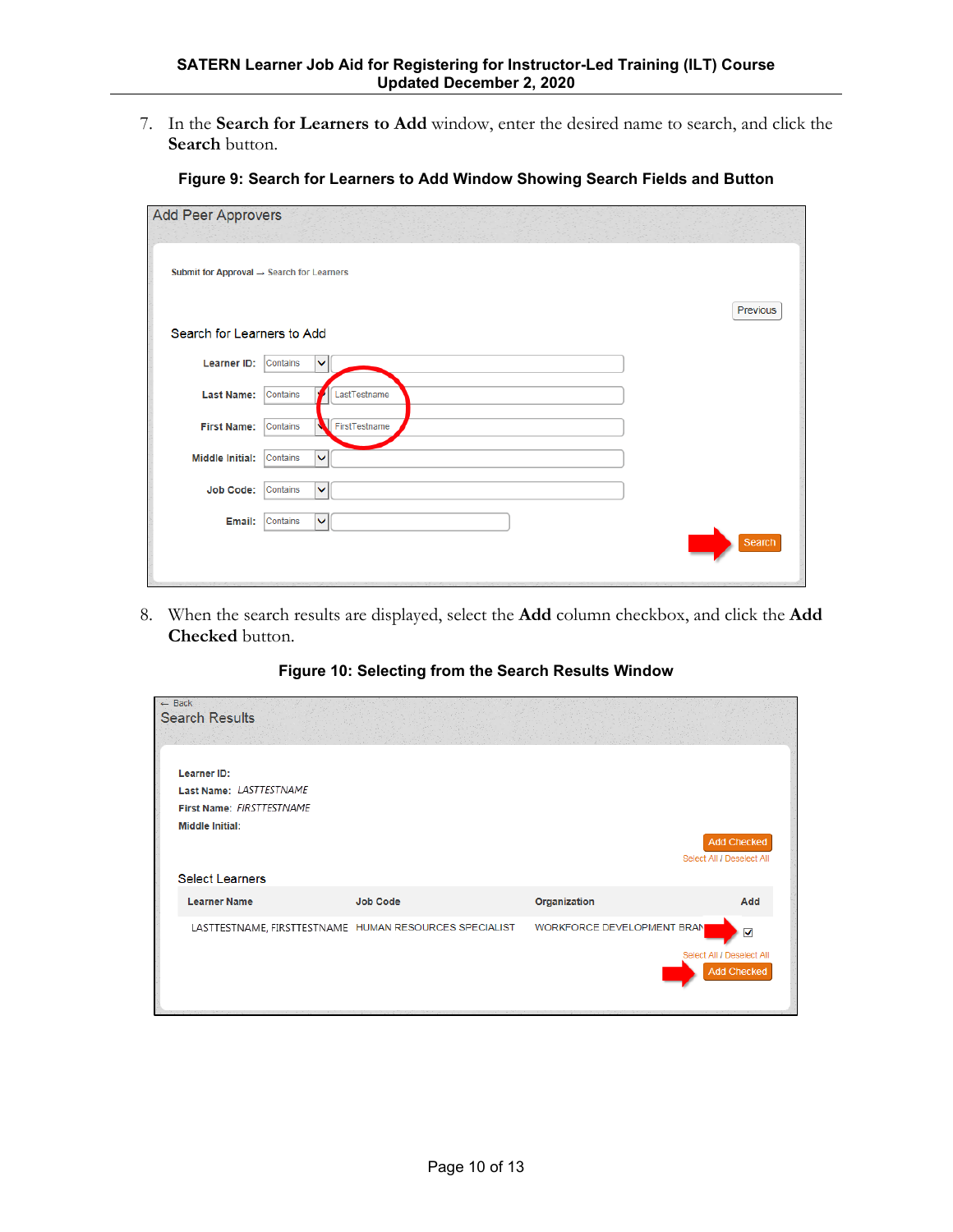7. In the **Search for Learners to Add** window, enter the desired name to search, and click the **Search** button.

| <b>Add Peer Approvers</b>                             |                           |               |
|-------------------------------------------------------|---------------------------|---------------|
| Submit for Approval $\rightarrow$ Search for Learners |                           |               |
|                                                       |                           | Previous      |
| Search for Learners to Add                            |                           |               |
| Learner ID:                                           | Contains<br>v             |               |
| <b>Last Name:</b>                                     | LastTestname<br>Contains  |               |
| <b>First Name:</b>                                    | FirstTestname<br>Contains |               |
| <b>Middle Initial:</b>                                | $\checkmark$<br>Contains  |               |
| <b>Job Code:</b>                                      | Contains<br>$\checkmark$  |               |
| Email:                                                | Contains<br>$\checkmark$  | <b>Search</b> |
|                                                       |                           |               |

**Figure 9: Search for Learners to Add Window Showing Search Fields and Button**

8. When the search results are displayed, select the **Add** column checkbox, and click the **Add Checked** button.

**Figure 10: Selecting from the Search Results Window**

| $-$ Back |                                                        |                 |                            |                           |
|----------|--------------------------------------------------------|-----------------|----------------------------|---------------------------|
|          | <b>Search Results</b>                                  |                 |                            |                           |
|          |                                                        |                 |                            |                           |
|          |                                                        |                 |                            |                           |
|          | <b>Learner ID:</b>                                     |                 |                            |                           |
|          | Last Name: LASTTESTNAME                                |                 |                            |                           |
|          | First Name: FIRSTTESTNAME                              |                 |                            |                           |
|          | <b>Middle Initial:</b>                                 |                 |                            |                           |
|          |                                                        |                 |                            | <b>Add Checked</b>        |
|          |                                                        |                 |                            | Select All / Deselect All |
|          | <b>Select Learners</b>                                 |                 |                            |                           |
|          | <b>Learner Name</b>                                    | <b>Job Code</b> | Organization               | Add                       |
|          |                                                        |                 |                            |                           |
|          | LASTTESTNAME, FIRSTTESTNAME HUMAN RESOURCES SPECIALIST |                 | WORKFORCE DEVELOPMENT BRAN | $\blacktriangledown$      |
|          |                                                        |                 |                            | Select All / Deselect All |
|          |                                                        |                 |                            | <b>Add Checked</b>        |
|          |                                                        |                 |                            |                           |
|          |                                                        |                 |                            |                           |
|          |                                                        |                 |                            |                           |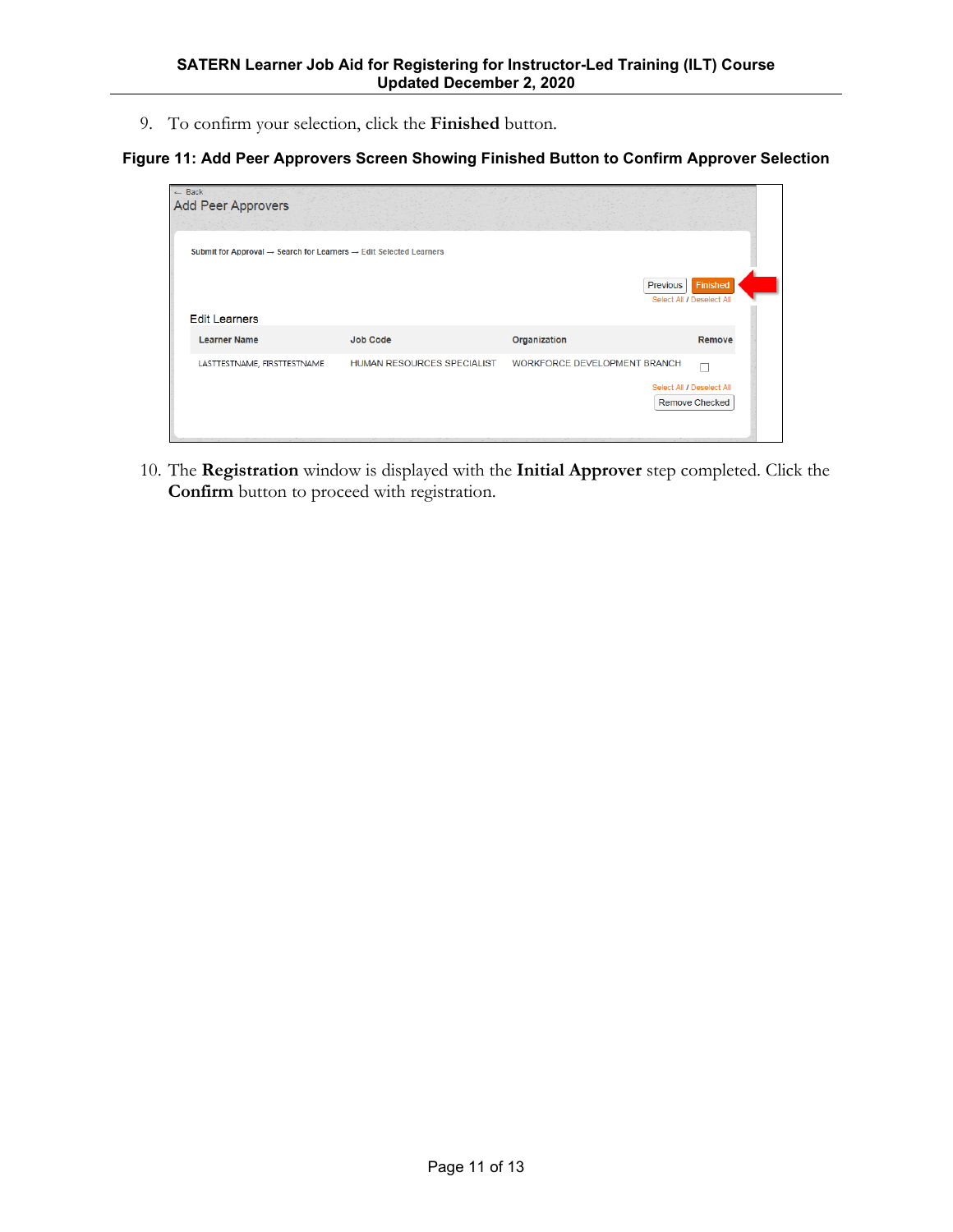9. To confirm your selection, click the **Finished** button.

### **Figure 11: Add Peer Approvers Screen Showing Finished Button to Confirm Approver Selection**

| $ightharpoonup$ Back | <b>Add Peer Approvers</b>                                                                  |                            |                                     |                                                    |
|----------------------|--------------------------------------------------------------------------------------------|----------------------------|-------------------------------------|----------------------------------------------------|
|                      | Submit for Approval $\rightarrow$ Search for Learners $\rightarrow$ Edit Selected Learners |                            |                                     |                                                    |
|                      | <b>Edit Learners</b>                                                                       |                            |                                     | Finished<br>Previous<br>Select All / Deselect All  |
|                      | <b>Learner Name</b>                                                                        | <b>Job Code</b>            | Organization                        | Remove                                             |
|                      | LASTTESTNAME, FIRSTTESTNAME                                                                | HUMAN RESOURCES SPECIALIST | <b>WORKFORCE DEVELOPMENT BRANCH</b> | Select All / Deselect All<br><b>Remove Checked</b> |

10. The **Registration** window is displayed with the **Initial Approver** step completed. Click the **Confirm** button to proceed with registration.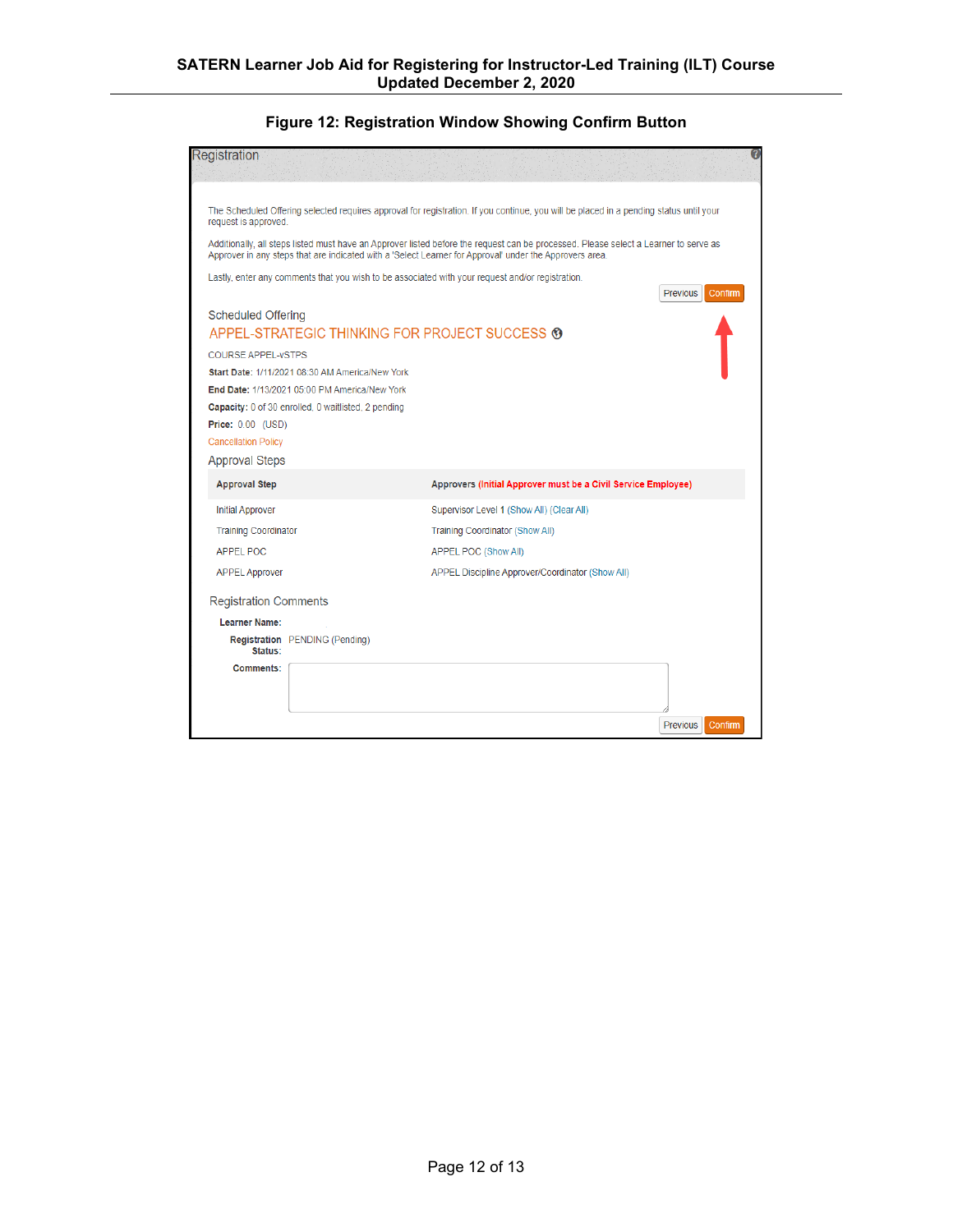### **Figure 12: Registration Window Showing Confirm Button**

| Registration                                                                                                                                                                                                                                    |                                                                                                  |                                                                                                                                        |                     |  |  |  |  |  |
|-------------------------------------------------------------------------------------------------------------------------------------------------------------------------------------------------------------------------------------------------|--------------------------------------------------------------------------------------------------|----------------------------------------------------------------------------------------------------------------------------------------|---------------------|--|--|--|--|--|
| request is approved.                                                                                                                                                                                                                            |                                                                                                  | The Scheduled Offering selected requires approval for registration. If you continue, you will be placed in a pending status until your |                     |  |  |  |  |  |
| Additionally, all steps listed must have an Approver listed before the request can be processed. Please select a Learner to serve as<br>Approver in any steps that are indicated with a 'Select Learner for Approval' under the Approvers area. |                                                                                                  |                                                                                                                                        |                     |  |  |  |  |  |
|                                                                                                                                                                                                                                                 |                                                                                                  | Lastly, enter any comments that you wish to be associated with your request and/or registration.                                       | Previous<br>Confirm |  |  |  |  |  |
| <b>Scheduled Offering</b>                                                                                                                                                                                                                       |                                                                                                  | APPEL-STRATEGIC THINKING FOR PROJECT SUCCESS <sup>®</sup>                                                                              |                     |  |  |  |  |  |
| <b>COURSE APPEL-VSTPS</b>                                                                                                                                                                                                                       | Start Date: 1/11/2021 08:30 AM America/New York<br>End Date: 1/13/2021 05:00 PM America/New York |                                                                                                                                        |                     |  |  |  |  |  |
| <b>Price: 0.00 (USD)</b><br><b>Cancellation Policy</b>                                                                                                                                                                                          | Capacity: 0 of 30 enrolled, 0 waitlisted, 2 pending                                              |                                                                                                                                        |                     |  |  |  |  |  |
| <b>Approval Steps</b><br><b>Approval Step</b>                                                                                                                                                                                                   |                                                                                                  | Approvers (Initial Approver must be a Civil Service Employee)                                                                          |                     |  |  |  |  |  |
| <b>Initial Approver</b><br><b>Training Coordinator</b>                                                                                                                                                                                          |                                                                                                  | Supervisor Level 1 (Show All) (Clear All)<br>Training Coordinator (Show All)                                                           |                     |  |  |  |  |  |
| <b>APPEL POC</b><br><b>APPEL Approver</b>                                                                                                                                                                                                       |                                                                                                  | APPEL POC (Show All)<br>APPEL Discipline Approver/Coordinator (Show All)                                                               |                     |  |  |  |  |  |
| <b>Registration Comments</b>                                                                                                                                                                                                                    |                                                                                                  |                                                                                                                                        |                     |  |  |  |  |  |
| <b>Learner Name:</b><br>Status:                                                                                                                                                                                                                 | <b>Registration</b> PENDING (Pending)                                                            |                                                                                                                                        |                     |  |  |  |  |  |
| <b>Comments:</b>                                                                                                                                                                                                                                |                                                                                                  |                                                                                                                                        |                     |  |  |  |  |  |
|                                                                                                                                                                                                                                                 |                                                                                                  |                                                                                                                                        | Previous<br>Confirm |  |  |  |  |  |